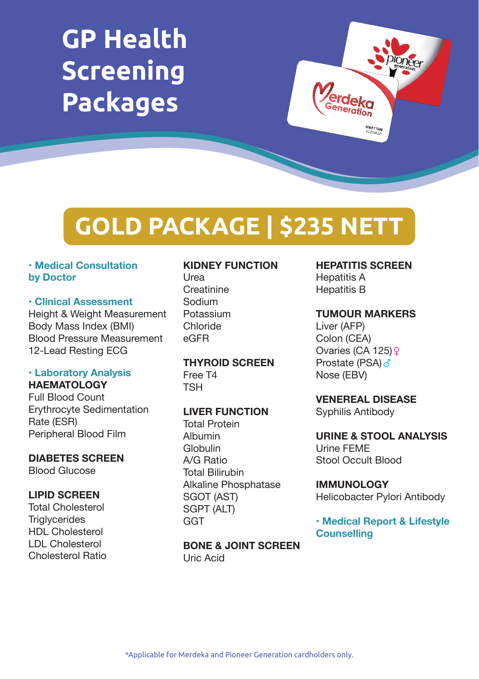# **GP Health Screening Packages**



# **GOLD PACKAGE | \$235 NETT**

#### **• Medical Consultation by Doctor**

#### **• Clinical Assessment**

Height & Weight Measurement Body Mass Index (BMI) Blood Pressure Measurement 12-Lead Resting ECG

#### **• Laboratory Analysis HAEMATOLOGY**

Full Blood Count Erythrocyte Sedimentation Rate (ESR) Peripheral Blood Film

# **DIABETES SCREEN**

Blood Glucose

#### **LIPID SCREEN**

Total Cholesterol **Triglycerides** HDL Cholesterol LDL Cholesterol Cholesterol Ratio

### **KIDNEY FUNCTION**

Urea **Creatinine** Sodium Potassium Chloride eGFR

#### **THYROID SCREEN** Free T4 TSH

#### **LIVER FUNCTION**

Total Protein Albumin Globulin A/G Ratio Total Bilirubin Alkaline Phosphatase SGOT (AST) SGPT (ALT) **GGT** 

**BONE & JOINT SCREEN** Uric Acid

# **HEPATITIS SCREEN**

Hepatitis A Hepatitis B

#### **TUMOUR MARKERS**

Liver (AFP) Colon (CEA) Ovaries (CA 125) Prostate (PSA) o' Nose (EBV)

## **VENEREAL DISEASE**

Syphilis Antibody

### **URINE & STOOL ANALYSIS** Urine FEME Stool Occult Blood

**IMMUNOLOGY** Helicobacter Pylori Antibody

**• Medical Report & Lifestyle Counselling**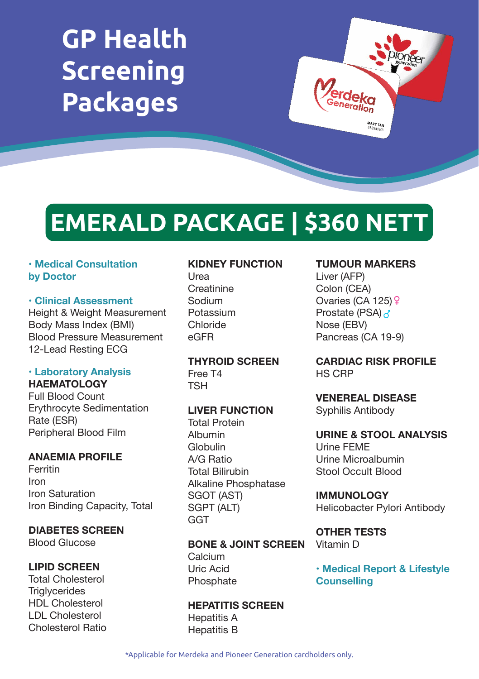# **GP Health Screening Packages**



# **EMERALD PACKAGE | \$360 NETT**

#### **• Medical Consultation by Doctor**

#### **• Clinical Assessment**

Height & Weight Measurement Body Mass Index (BMI) Blood Pressure Measurement 12-Lead Resting ECG

#### **• Laboratory Analysis HAEMATOLOGY**

Full Blood Count Erythrocyte Sedimentation Rate (ESR) Peripheral Blood Film

### **ANAEMIA PROFILE**

Ferritin Iron Iron Saturation Iron Binding Capacity, Total

**DIABETES SCREEN**

Blood Glucose

### **LIPID SCREEN**

Total Cholesterol **Triglycerides** HDL Cholesterol LDL Cholesterol Cholesterol Ratio

#### **KIDNEY FUNCTION**

Urea Creatinine Sodium Potassium Chloride eGFR

**THYROID SCREEN** Free T4 TSH

### **LIVER FUNCTION**

Total Protein Albumin Globulin A/G Ratio Total Bilirubin Alkaline Phosphatase SGOT (AST) SGPT (ALT) GGT

#### **BONE & JOINT SCREEN**

Calcium Uric Acid **Phosphate** 

**HEPATITIS SCREEN** Hepatitis A Hepatitis B

#### **TUMOUR MARKERS**

Liver (AFP) Colon (CEA) Ovaries (CA 125)  $\sqrt{2}$ Prostate (PSA) 2 Nose (EBV) Pancreas (CA 19-9)

**CARDIAC RISK PROFILE** HS CRP

**VENEREAL DISEASE** Syphilis Antibody

**URINE & STOOL ANALYSIS** Urine FEME Urine Microalbumin Stool Occult Blood

**IMMUNOLOGY** Helicobacter Pylori Antibody

**OTHER TESTS** Vitamin D

**• Medical Report & Lifestyle Counselling**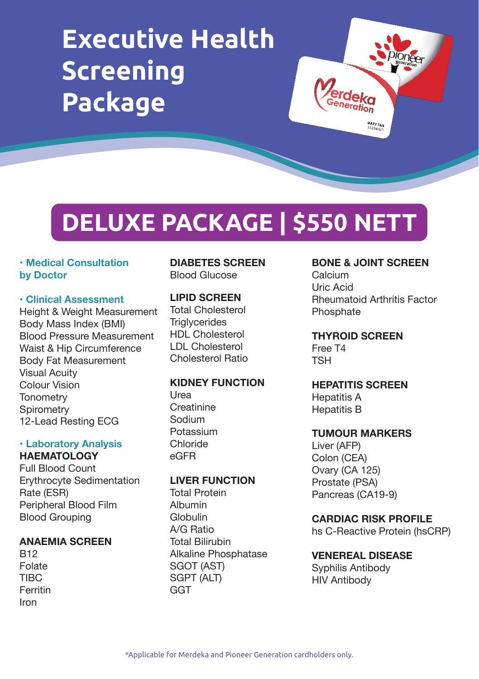# **Executive Health Screening Package**

# **DELUXE PACKAGE | \$550 NETT**

#### **• Medical Consultation by Doctor**

#### **• Clinical Assessment**

Height & Weight Measurement Body Mass Index (BMI) Blood Pressure Measurement Waist & Hip Circumference Body Fat Measurement Visual Acuity Colour Vision **Tonometry Spirometry** 12-Lead Resting ECG

#### **• Laboratory Analysis HAEMATOLOGY**

Full Blood Count Erythrocyte Sedimentation Rate (ESR) Peripheral Blood Film Blood Grouping

### **ANAEMIA SCREEN**

B12 Folate TIBC Ferritin Iron

#### **DIABETES SCREEN** Blood Glucose

#### **LIPID SCREEN**

Total Cholesterol **Triglycerides** HDL Cholesterol LDL Cholesterol Cholesterol Ratio

#### **KIDNEY FUNCTION**

Urea **Creatinine** Sodium Potassium Chloride eGFR

### **LIVER FUNCTION**

Total Protein Albumin Globulin A/G Ratio Total Bilirubin Alkaline Phosphatase SGOT (AST) SGPT (ALT) **GGT** 

#### **BONE & JOINT SCREEN**

**)**<br>erdeka<br><sup>Seneration</sup>

Calcium Uric Acid Rheumatoid Arthritis Factor Phosphate

#### **THYROID SCREEN**

Free T4 TSH

#### **HEPATITIS SCREEN**

Hepatitis A Hepatitis B

#### **TUMOUR MARKERS**

Liver (AFP) Colon (CEA) Ovary (CA 125) Prostate (PSA) Pancreas (CA19-9)

#### **CARDIAC RISK PROFILE**

hs C-Reactive Protein (hsCRP)

#### **VENEREAL DISEASE**

Syphilis Antibody HIV Antibody